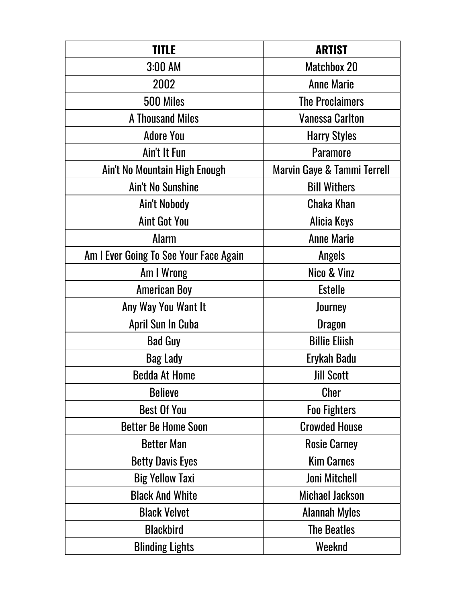| TITLE                                  | <b>ARTIST</b>               |
|----------------------------------------|-----------------------------|
| 3:00 AM                                | <b>Matchbox 20</b>          |
| 2002                                   | <b>Anne Marie</b>           |
| 500 Miles                              | <b>The Proclaimers</b>      |
| <b>A Thousand Miles</b>                | <b>Vanessa Carlton</b>      |
| <b>Adore You</b>                       | <b>Harry Styles</b>         |
| Ain't It Fun                           | <b>Paramore</b>             |
| Ain't No Mountain High Enough          | Marvin Gaye & Tammi Terrell |
| <b>Ain't No Sunshine</b>               | <b>Bill Withers</b>         |
| Ain't Nobody                           | <b>Chaka Khan</b>           |
| <b>Aint Got You</b>                    | Alicia Keys                 |
| <b>Alarm</b>                           | <b>Anne Marie</b>           |
| Am I Ever Going To See Your Face Again | Angels                      |
| Am I Wrong                             | Nico & Vinz                 |
| <b>American Boy</b>                    | <b>Estelle</b>              |
| Any Way You Want It                    | Journey                     |
| April Sun In Cuba                      | <b>Dragon</b>               |
| <b>Bad Guy</b>                         | <b>Billie Eliish</b>        |
| <b>Bag Lady</b>                        | Erykah Badu                 |
| <b>Bedda At Home</b>                   | <b>Jill Scott</b>           |
| <b>Believe</b>                         | <b>Cher</b>                 |
| <b>Best Of You</b>                     | <b>Foo Fighters</b>         |
| <b>Better Be Home Soon</b>             | <b>Crowded House</b>        |
| <b>Better Man</b>                      | <b>Rosie Carney</b>         |
| <b>Betty Davis Eyes</b>                | <b>Kim Carnes</b>           |
| <b>Big Yellow Taxi</b>                 | <b>Joni Mitchell</b>        |
| <b>Black And White</b>                 | <b>Michael Jackson</b>      |
| <b>Black Velvet</b>                    | <b>Alannah Myles</b>        |
| <b>Blackbird</b>                       | <b>The Beatles</b>          |
| <b>Blinding Lights</b>                 | Weeknd                      |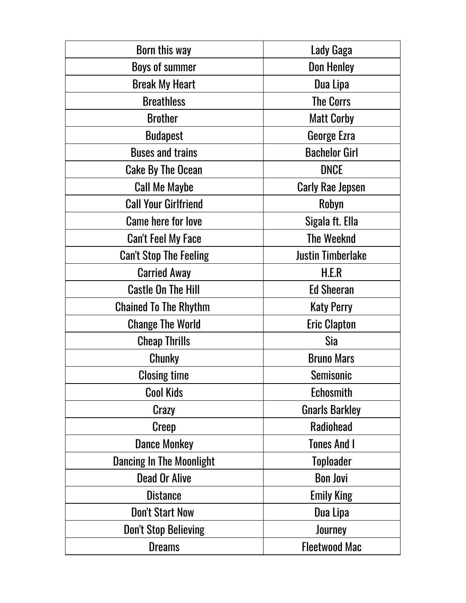| Born this way                   | Lady Gaga                |
|---------------------------------|--------------------------|
| <b>Boys of summer</b>           | <b>Don Henley</b>        |
| <b>Break My Heart</b>           | Dua Lipa                 |
| <b>Breathless</b>               | <b>The Corrs</b>         |
| <b>Brother</b>                  | <b>Matt Corby</b>        |
| <b>Budapest</b>                 | George Ezra              |
| <b>Buses and trains</b>         | <b>Bachelor Girl</b>     |
| <b>Cake By The Ocean</b>        | <b>DNCE</b>              |
| <b>Call Me Maybe</b>            | <b>Carly Rae Jepsen</b>  |
| <b>Call Your Girlfriend</b>     | Robyn                    |
| <b>Came here for love</b>       | Sigala ft. Ella          |
| <b>Can't Feel My Face</b>       | <b>The Weeknd</b>        |
| <b>Can't Stop The Feeling</b>   | <b>Justin Timberlake</b> |
| <b>Carried Away</b>             | H.E.R                    |
| <b>Castle On The Hill</b>       | <b>Ed Sheeran</b>        |
| <b>Chained To The Rhythm</b>    | <b>Katy Perry</b>        |
| <b>Change The World</b>         | <b>Eric Clapton</b>      |
| <b>Cheap Thrills</b>            | Sia                      |
| <b>Chunky</b>                   | <b>Bruno Mars</b>        |
| <b>Closing time</b>             | <b>Semisonic</b>         |
| <b>Cool Kids</b>                | Echosmith                |
| Crazy                           | <b>Gnarls Barkley</b>    |
| <b>Creep</b>                    | <b>Radiohead</b>         |
| <b>Dance Monkey</b>             | <b>Tones And I</b>       |
| <b>Dancing In The Moonlight</b> | <b>Toploader</b>         |
| <b>Dead Or Alive</b>            | <b>Bon Jovi</b>          |
| <b>Distance</b>                 | <b>Emily King</b>        |
| <b>Don't Start Now</b>          | Dua Lipa                 |
| <b>Don't Stop Believing</b>     | Journey                  |
| <b>Dreams</b>                   | <b>Fleetwood Mac</b>     |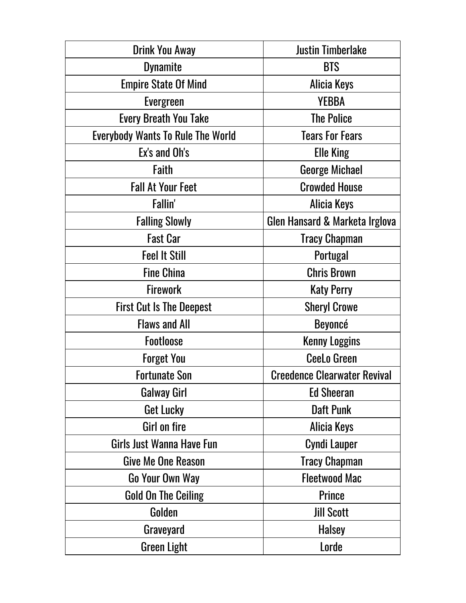| <b>Drink You Away</b>                    | <b>Justin Timberlake</b>            |
|------------------------------------------|-------------------------------------|
| <b>Dynamite</b>                          | <b>BTS</b>                          |
| <b>Empire State Of Mind</b>              | Alicia Keys                         |
| <b>Evergreen</b>                         | <b>YEBBA</b>                        |
| <b>Every Breath You Take</b>             | <b>The Police</b>                   |
| <b>Everybody Wants To Rule The World</b> | <b>Tears For Fears</b>              |
| Ex's and Oh's                            | <b>Elle King</b>                    |
| Faith                                    | <b>George Michael</b>               |
| <b>Fall At Your Feet</b>                 | <b>Crowded House</b>                |
| Fallin'                                  | Alicia Keys                         |
| <b>Falling Slowly</b>                    | Glen Hansard & Marketa Irglova      |
| <b>Fast Car</b>                          | <b>Tracy Chapman</b>                |
| <b>Feel It Still</b>                     | Portugal                            |
| <b>Fine China</b>                        | <b>Chris Brown</b>                  |
| <b>Firework</b>                          | <b>Katy Perry</b>                   |
| <b>First Cut Is The Deepest</b>          | <b>Sheryl Crowe</b>                 |
| <b>Flaws and All</b>                     | <b>Beyoncé</b>                      |
| <b>Footloose</b>                         | <b>Kenny Loggins</b>                |
| <b>Forget You</b>                        | <b>CeeLo Green</b>                  |
| <b>Fortunate Son</b>                     | <b>Creedence Clearwater Revival</b> |
| <b>Galway Girl</b>                       | <b>Ed Sheeran</b>                   |
| Get Lucky                                | <b>Daft Punk</b>                    |
| Girl on fire                             | Alicia Keys                         |
| Girls Just Wanna Have Fun                | <b>Cyndi Lauper</b>                 |
| Give Me One Reason                       | <b>Tracy Chapman</b>                |
| Go Your Own Way                          | <b>Fleetwood Mac</b>                |
| <b>Gold On The Ceiling</b>               | <b>Prince</b>                       |
| Golden                                   | <b>Jill Scott</b>                   |
| Graveyard                                | <b>Halsey</b>                       |
| <b>Green Light</b>                       | Lorde                               |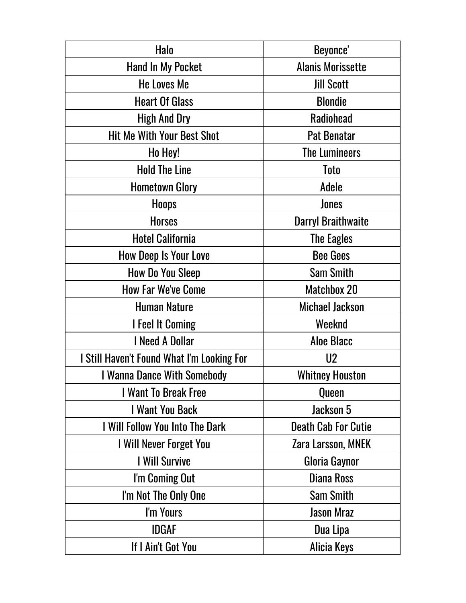| Halo                                       | Beyonce'                   |
|--------------------------------------------|----------------------------|
| <b>Hand In My Pocket</b>                   | <b>Alanis Morissette</b>   |
| <b>He Loves Me</b>                         | <b>Jill Scott</b>          |
| <b>Heart Of Glass</b>                      | <b>Blondie</b>             |
| <b>High And Dry</b>                        | <b>Radiohead</b>           |
| <b>Hit Me With Your Best Shot</b>          | <b>Pat Benatar</b>         |
| Ho Hey!                                    | <b>The Lumineers</b>       |
| <b>Hold The Line</b>                       | Toto                       |
| <b>Hometown Glory</b>                      | <b>Adele</b>               |
| <b>Hoops</b>                               | Jones                      |
| <b>Horses</b>                              | <b>Darryl Braithwaite</b>  |
| <b>Hotel California</b>                    | <b>The Eagles</b>          |
| <b>How Deep Is Your Love</b>               | <b>Bee Gees</b>            |
| <b>How Do You Sleep</b>                    | <b>Sam Smith</b>           |
| <b>How Far We've Come</b>                  | <b>Matchbox 20</b>         |
| <b>Human Nature</b>                        | <b>Michael Jackson</b>     |
| <b>I</b> Feel It Coming                    | Weeknd                     |
| I Need A Dollar                            | <b>Aloe Blacc</b>          |
| I Still Haven't Found What I'm Looking For | U <sub>2</sub>             |
| I Wanna Dance With Somebody                | <b>Whitney Houston</b>     |
| <b>I Want To Break Free</b>                | <b>Queen</b>               |
| I Want You Back                            | Jackson 5                  |
| I Will Follow You Into The Dark            | <b>Death Cab For Cutie</b> |
| I Will Never Forget You                    | Zara Larsson, MNEK         |
| I Will Survive                             | Gloria Gaynor              |
| I'm Coming Out                             | <b>Diana Ross</b>          |
| I'm Not The Only One                       | <b>Sam Smith</b>           |
| I'm Yours                                  | <b>Jason Mraz</b>          |
| <b>IDGAF</b>                               | Dua Lipa                   |
| If I Ain't Got You                         | <b>Alicia Keys</b>         |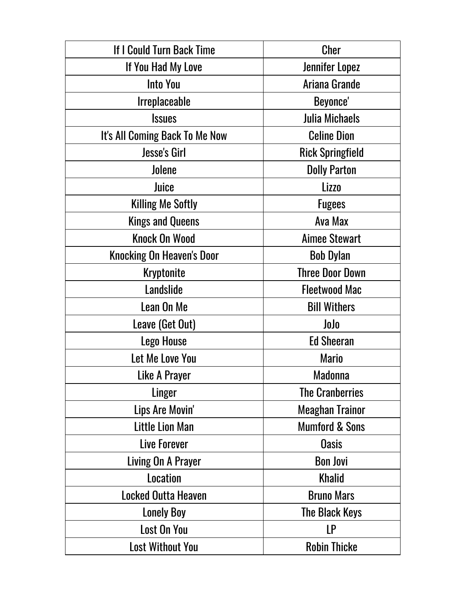| If I Could Turn Back Time        | Cher                      |
|----------------------------------|---------------------------|
| If You Had My Love               | Jennifer Lopez            |
| <b>Into You</b>                  | Ariana Grande             |
| <b>Irreplaceable</b>             | Beyonce'                  |
| <b>Issues</b>                    | <b>Julia Michaels</b>     |
| It's All Coming Back To Me Now   | <b>Celine Dion</b>        |
| <b>Jesse's Girl</b>              | <b>Rick Springfield</b>   |
| Jolene                           | <b>Dolly Parton</b>       |
| Juice                            | <b>Lizzo</b>              |
| <b>Killing Me Softly</b>         | <b>Fugees</b>             |
| <b>Kings and Queens</b>          | Ava Max                   |
| <b>Knock On Wood</b>             | <b>Aimee Stewart</b>      |
| <b>Knocking On Heaven's Door</b> | <b>Bob Dylan</b>          |
| <b>Kryptonite</b>                | <b>Three Door Down</b>    |
| Landslide                        | <b>Fleetwood Mac</b>      |
| Lean On Me                       | <b>Bill Withers</b>       |
| Leave (Get Out)                  | JoJo                      |
| <b>Lego House</b>                | <b>Ed Sheeran</b>         |
| Let Me Love You                  | <b>Mario</b>              |
| Like A Prayer                    | <b>Madonna</b>            |
| Linger                           | <b>The Cranberries</b>    |
| Lips Are Movin'                  | <b>Meaghan Trainor</b>    |
| <b>Little Lion Man</b>           | <b>Mumford &amp; Sons</b> |
| Live Forever                     | <b>Oasis</b>              |
| Living On A Prayer               | <b>Bon Jovi</b>           |
| <b>Location</b>                  | <b>Khalid</b>             |
| <b>Locked Outta Heaven</b>       | <b>Bruno Mars</b>         |
| <b>Lonely Boy</b>                | The Black Keys            |
| <b>Lost On You</b>               | LP                        |
| <b>Lost Without You</b>          | <b>Robin Thicke</b>       |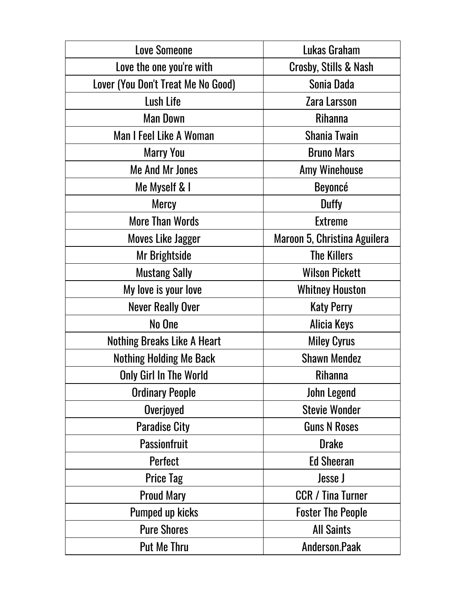| <b>Love Someone</b>                | Lukas Graham                 |
|------------------------------------|------------------------------|
| Love the one you're with           | Crosby, Stills & Nash        |
| Lover (You Don't Treat Me No Good) | Sonia Dada                   |
| <b>Lush Life</b>                   | Zara Larsson                 |
| <b>Man Down</b>                    | <b>Rihanna</b>               |
| <b>Man I Feel Like A Woman</b>     | <b>Shania Twain</b>          |
| <b>Marry You</b>                   | <b>Bruno Mars</b>            |
| <b>Me And Mr Jones</b>             | <b>Amy Winehouse</b>         |
| Me Myself & I                      | Beyoncé                      |
| <b>Mercy</b>                       | <b>Duffy</b>                 |
| <b>More Than Words</b>             | <b>Extreme</b>               |
| <b>Moves Like Jagger</b>           | Maroon 5, Christina Aguilera |
| Mr Brightside                      | <b>The Killers</b>           |
| <b>Mustang Sally</b>               | <b>Wilson Pickett</b>        |
| My love is your love               | <b>Whitney Houston</b>       |
| <b>Never Really Over</b>           | <b>Katy Perry</b>            |
| No One                             | <b>Alicia Keys</b>           |
| <b>Nothing Breaks Like A Heart</b> | <b>Miley Cyrus</b>           |
| <b>Nothing Holding Me Back</b>     | <b>Shawn Mendez</b>          |
| <b>Only Girl In The World</b>      | Rihanna                      |
| <b>Ordinary People</b>             | John Legend                  |
| Overjoyed                          | <b>Stevie Wonder</b>         |
| <b>Paradise City</b>               | <b>Guns N Roses</b>          |
| <b>Passionfruit</b>                | <b>Drake</b>                 |
| Perfect                            | <b>Ed Sheeran</b>            |
| <b>Price Tag</b>                   | Jesse J                      |
| <b>Proud Mary</b>                  | <b>CCR / Tina Turner</b>     |
| <b>Pumped up kicks</b>             | <b>Foster The People</b>     |
| <b>Pure Shores</b>                 | <b>All Saints</b>            |
| <b>Put Me Thru</b>                 | Anderson.Paak                |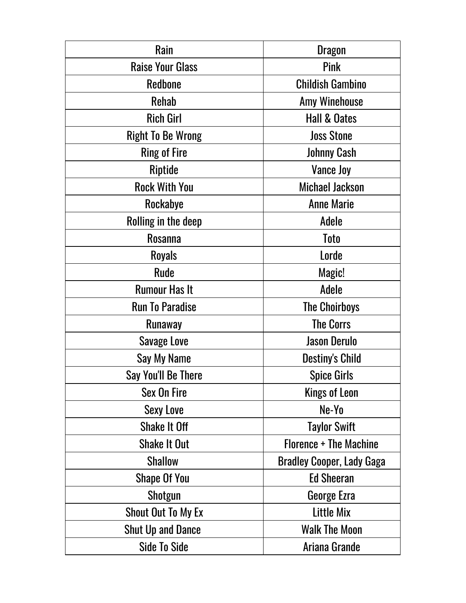| Rain                      | <b>Dragon</b>                    |
|---------------------------|----------------------------------|
| <b>Raise Your Glass</b>   | Pink                             |
| <b>Redbone</b>            | <b>Childish Gambino</b>          |
| <b>Rehab</b>              | <b>Amy Winehouse</b>             |
| <b>Rich Girl</b>          | <b>Hall &amp; Oates</b>          |
| <b>Right To Be Wrong</b>  | <b>Joss Stone</b>                |
| <b>Ring of Fire</b>       | <b>Johnny Cash</b>               |
| Riptide                   | <b>Vance Joy</b>                 |
| <b>Rock With You</b>      | <b>Michael Jackson</b>           |
| Rockabye                  | <b>Anne Marie</b>                |
| Rolling in the deep       | Adele                            |
| <b>Rosanna</b>            | <b>Toto</b>                      |
| <b>Royals</b>             | Lorde                            |
| <b>Rude</b>               | Magic!                           |
| <b>Rumour Has It</b>      | Adele                            |
| <b>Run To Paradise</b>    | <b>The Choirboys</b>             |
| Runaway                   | <b>The Corrs</b>                 |
| <b>Savage Love</b>        | <b>Jason Derulo</b>              |
| Say My Name               | <b>Destiny's Child</b>           |
| Say You'll Be There       | <b>Spice Girls</b>               |
| Sex On Fire               | <b>Kings of Leon</b>             |
| <b>Sexy Love</b>          | Ne-Yo                            |
| <b>Shake It Off</b>       | <b>Taylor Swift</b>              |
| <b>Shake It Out</b>       | <b>Florence + The Machine</b>    |
| <b>Shallow</b>            | <b>Bradley Cooper, Lady Gaga</b> |
| <b>Shape Of You</b>       | <b>Ed Sheeran</b>                |
| Shotgun                   | George Ezra                      |
| <b>Shout Out To My Ex</b> | Little Mix                       |
| <b>Shut Up and Dance</b>  | <b>Walk The Moon</b>             |
| <b>Side To Side</b>       | Ariana Grande                    |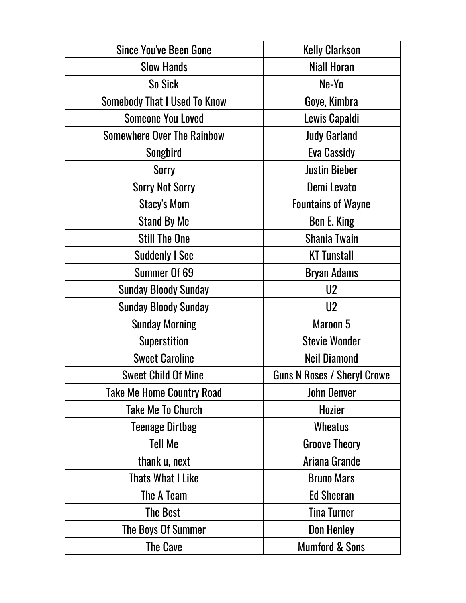| <b>Since You've Been Gone</b>       | <b>Kelly Clarkson</b>              |
|-------------------------------------|------------------------------------|
| <b>Slow Hands</b>                   | <b>Niall Horan</b>                 |
| So Sick                             | Ne-Yo                              |
| <b>Somebody That I Used To Know</b> | Goye, Kimbra                       |
| <b>Someone You Loved</b>            | Lewis Capaldi                      |
| <b>Somewhere Over The Rainbow</b>   | <b>Judy Garland</b>                |
| Songbird                            | <b>Eva Cassidy</b>                 |
| <b>Sorry</b>                        | <b>Justin Bieber</b>               |
| <b>Sorry Not Sorry</b>              | Demi Levato                        |
| Stacy's Mom                         | <b>Fountains of Wayne</b>          |
| <b>Stand By Me</b>                  | Ben E. King                        |
| <b>Still The One</b>                | <b>Shania Twain</b>                |
| <b>Suddenly I See</b>               | <b>KT Tunstall</b>                 |
| Summer Of 69                        | <b>Bryan Adams</b>                 |
| <b>Sunday Bloody Sunday</b>         | U <sub>2</sub>                     |
| <b>Sunday Bloody Sunday</b>         | U <sub>2</sub>                     |
| <b>Sunday Morning</b>               | Maroon 5                           |
| <b>Superstition</b>                 | <b>Stevie Wonder</b>               |
| <b>Sweet Caroline</b>               | <b>Neil Diamond</b>                |
| <b>Sweet Child Of Mine</b>          | <b>Guns N Roses / Sheryl Crowe</b> |
| <b>Take Me Home Country Road</b>    | <b>John Denver</b>                 |
| <b>Take Me To Church</b>            | <b>Hozier</b>                      |
| <b>Teenage Dirtbag</b>              | <b>Wheatus</b>                     |
| <b>Tell Me</b>                      | <b>Groove Theory</b>               |
| thank u, next                       | Ariana Grande                      |
| <b>Thats What I Like</b>            | <b>Bruno Mars</b>                  |
| The A Team                          | <b>Ed Sheeran</b>                  |
| <b>The Best</b>                     | <b>Tina Turner</b>                 |
| The Boys Of Summer                  | <b>Don Henley</b>                  |
| <b>The Cave</b>                     | <b>Mumford &amp; Sons</b>          |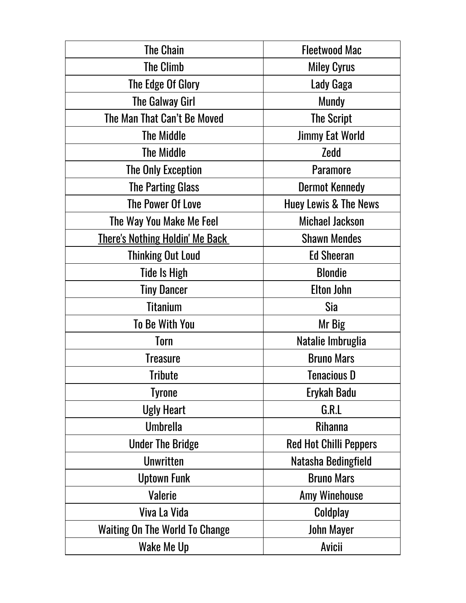| <b>The Chain</b>                       | <b>Fleetwood Mac</b>             |
|----------------------------------------|----------------------------------|
| <b>The Climb</b>                       | <b>Miley Cyrus</b>               |
| The Edge Of Glory                      | Lady Gaga                        |
| The Galway Girl                        | <b>Mundy</b>                     |
| The Man That Can't Be Moved            | <b>The Script</b>                |
| <b>The Middle</b>                      | <b>Jimmy Eat World</b>           |
| <b>The Middle</b>                      | Zedd                             |
| <b>The Only Exception</b>              | <b>Paramore</b>                  |
| <b>The Parting Glass</b>               | <b>Dermot Kennedy</b>            |
| <b>The Power Of Love</b>               | <b>Huey Lewis &amp; The News</b> |
| The Way You Make Me Feel               | <b>Michael Jackson</b>           |
| <u>There's Nothing Holdin' Me Back</u> | <b>Shawn Mendes</b>              |
| <b>Thinking Out Loud</b>               | <b>Ed Sheeran</b>                |
| Tide Is High                           | <b>Blondie</b>                   |
| <b>Tiny Dancer</b>                     | <b>Elton John</b>                |
| <b>Titanium</b>                        | Sia                              |
| <b>To Be With You</b>                  | Mr Big                           |
| Torn                                   | Natalie Imbruglia                |
| <b>Treasure</b>                        | <b>Bruno Mars</b>                |
| <b>Tribute</b>                         | <b>Tenacious D</b>               |
| <b>Tyrone</b>                          | Erykah Badu                      |
| <b>Ugly Heart</b>                      | G.R.L                            |
| <b>Umbrella</b>                        | <b>Rihanna</b>                   |
| <b>Under The Bridge</b>                | <b>Red Hot Chilli Peppers</b>    |
| <b>Unwritten</b>                       | Natasha Bedingfield              |
| <b>Uptown Funk</b>                     | <b>Bruno Mars</b>                |
| <b>Valerie</b>                         | <b>Amy Winehouse</b>             |
| Viva La Vida                           | Coldplay                         |
| <b>Waiting On The World To Change</b>  | John Mayer                       |
| Wake Me Up                             | <b>Avicii</b>                    |